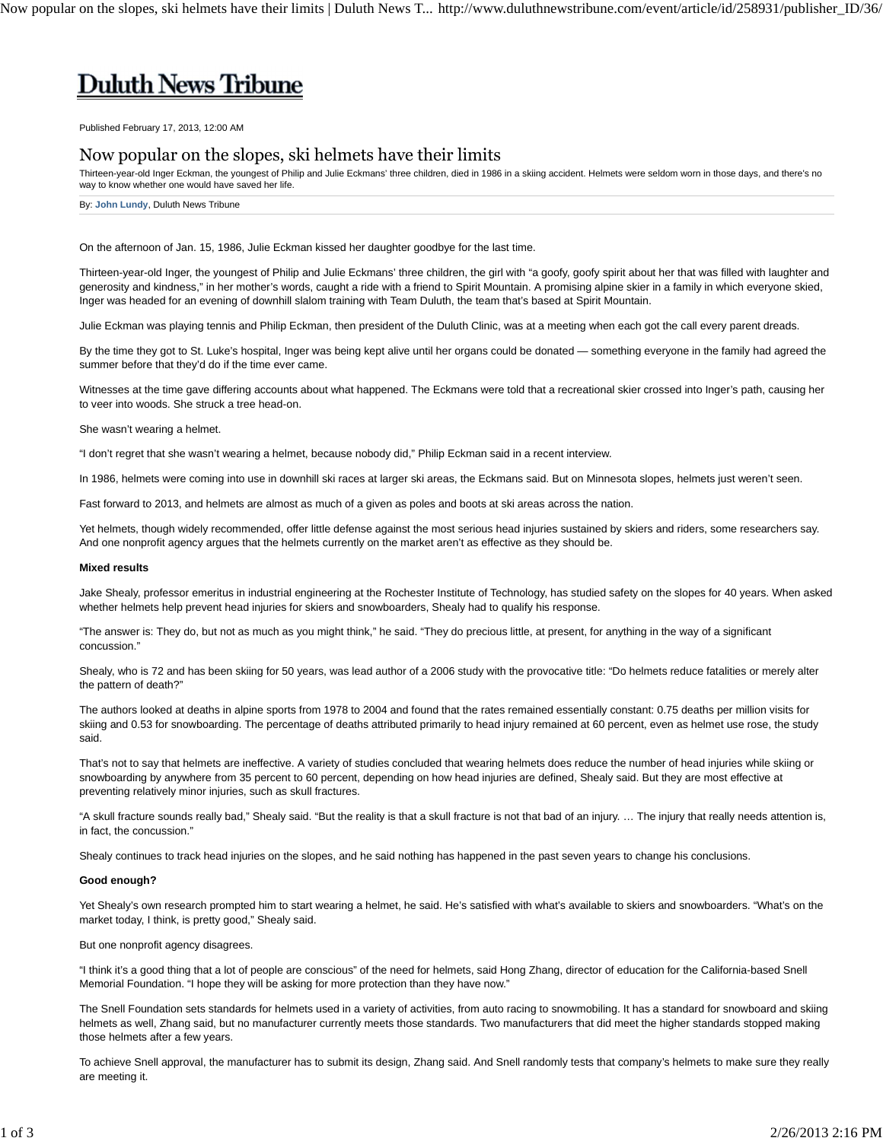# **Duluth News Tribune**

Published February 17, 2013, 12:00 AM

## Now popular on the slopes, ski helmets have their limits

Thirteen-year-old Inger Eckman, the youngest of Philip and Julie Eckmans' three children, died in 1986 in a skiing accident. Helmets were seldom worn in those days, and there's no way to know whether one would have saved her life.

By: **John Lundy**, Duluth News Tribune

On the afternoon of Jan. 15, 1986, Julie Eckman kissed her daughter goodbye for the last time.

Thirteen-year-old Inger, the youngest of Philip and Julie Eckmans' three children, the girl with "a goofy, goofy spirit about her that was filled with laughter and generosity and kindness," in her mother's words, caught a ride with a friend to Spirit Mountain. A promising alpine skier in a family in which everyone skied, Inger was headed for an evening of downhill slalom training with Team Duluth, the team that's based at Spirit Mountain.

Julie Eckman was playing tennis and Philip Eckman, then president of the Duluth Clinic, was at a meeting when each got the call every parent dreads.

By the time they got to St. Luke's hospital, Inger was being kept alive until her organs could be donated — something everyone in the family had agreed the summer before that they'd do if the time ever came.

Witnesses at the time gave differing accounts about what happened. The Eckmans were told that a recreational skier crossed into Inger's path, causing her to veer into woods. She struck a tree head-on.

She wasn't wearing a helmet.

"I don't regret that she wasn't wearing a helmet, because nobody did," Philip Eckman said in a recent interview.

In 1986, helmets were coming into use in downhill ski races at larger ski areas, the Eckmans said. But on Minnesota slopes, helmets just weren't seen.

Fast forward to 2013, and helmets are almost as much of a given as poles and boots at ski areas across the nation.

Yet helmets, though widely recommended, offer little defense against the most serious head injuries sustained by skiers and riders, some researchers say. And one nonprofit agency argues that the helmets currently on the market aren't as effective as they should be.

### **Mixed results**

Jake Shealy, professor emeritus in industrial engineering at the Rochester Institute of Technology, has studied safety on the slopes for 40 years. When asked whether helmets help prevent head injuries for skiers and snowboarders, Shealy had to qualify his response.

"The answer is: They do, but not as much as you might think," he said. "They do precious little, at present, for anything in the way of a significant concussion."

Shealy, who is 72 and has been skiing for 50 years, was lead author of a 2006 study with the provocative title: "Do helmets reduce fatalities or merely alter the pattern of death?"

The authors looked at deaths in alpine sports from 1978 to 2004 and found that the rates remained essentially constant: 0.75 deaths per million visits for skiing and 0.53 for snowboarding. The percentage of deaths attributed primarily to head injury remained at 60 percent, even as helmet use rose, the study said.

That's not to say that helmets are ineffective. A variety of studies concluded that wearing helmets does reduce the number of head injuries while skiing or snowboarding by anywhere from 35 percent to 60 percent, depending on how head injuries are defined, Shealy said. But they are most effective at preventing relatively minor injuries, such as skull fractures.

"A skull fracture sounds really bad," Shealy said. "But the reality is that a skull fracture is not that bad of an injury. … The injury that really needs attention is, in fact, the concussion."

Shealy continues to track head injuries on the slopes, and he said nothing has happened in the past seven years to change his conclusions.

#### **Good enough?**

Yet Shealy's own research prompted him to start wearing a helmet, he said. He's satisfied with what's available to skiers and snowboarders. "What's on the market today, I think, is pretty good," Shealy said.

But one nonprofit agency disagrees.

"I think it's a good thing that a lot of people are conscious" of the need for helmets, said Hong Zhang, director of education for the California-based Snell Memorial Foundation. "I hope they will be asking for more protection than they have now."

The Snell Foundation sets standards for helmets used in a variety of activities, from auto racing to snowmobiling. It has a standard for snowboard and skiing helmets as well, Zhang said, but no manufacturer currently meets those standards. Two manufacturers that did meet the higher standards stopped making those helmets after a few years.

To achieve Snell approval, the manufacturer has to submit its design, Zhang said. And Snell randomly tests that company's helmets to make sure they really are meeting it.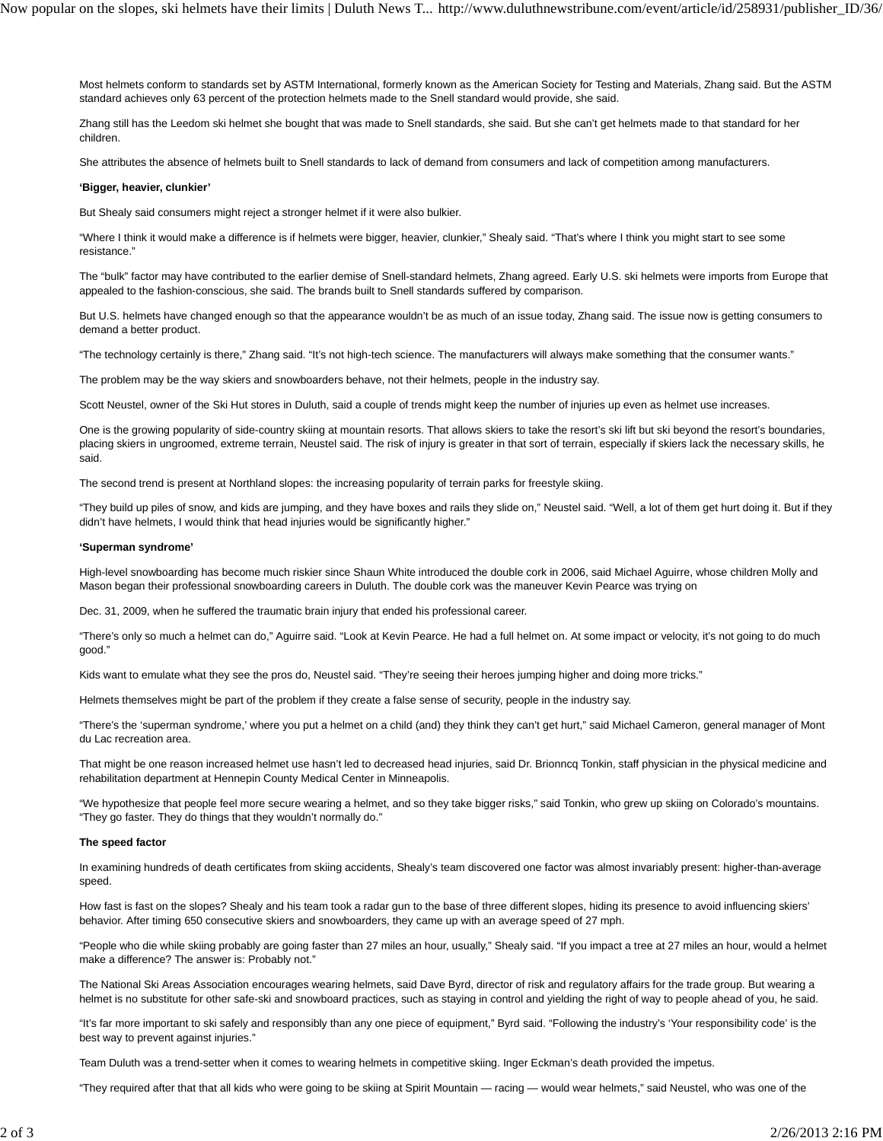Most helmets conform to standards set by ASTM International, formerly known as the American Society for Testing and Materials, Zhang said. But the ASTM standard achieves only 63 percent of the protection helmets made to the Snell standard would provide, she said.

Zhang still has the Leedom ski helmet she bought that was made to Snell standards, she said. But she can't get helmets made to that standard for her children.

She attributes the absence of helmets built to Snell standards to lack of demand from consumers and lack of competition among manufacturers.

#### **'Bigger, heavier, clunkier'**

But Shealy said consumers might reject a stronger helmet if it were also bulkier.

"Where I think it would make a difference is if helmets were bigger, heavier, clunkier," Shealy said. "That's where I think you might start to see some resistance."

The "bulk" factor may have contributed to the earlier demise of Snell-standard helmets, Zhang agreed. Early U.S. ski helmets were imports from Europe that appealed to the fashion-conscious, she said. The brands built to Snell standards suffered by comparison.

But U.S. helmets have changed enough so that the appearance wouldn't be as much of an issue today, Zhang said. The issue now is getting consumers to demand a better product.

"The technology certainly is there," Zhang said. "It's not high-tech science. The manufacturers will always make something that the consumer wants."

The problem may be the way skiers and snowboarders behave, not their helmets, people in the industry say.

Scott Neustel, owner of the Ski Hut stores in Duluth, said a couple of trends might keep the number of injuries up even as helmet use increases.

One is the growing popularity of side-country skiing at mountain resorts. That allows skiers to take the resort's ski lift but ski beyond the resort's boundaries, placing skiers in ungroomed, extreme terrain, Neustel said. The risk of injury is greater in that sort of terrain, especially if skiers lack the necessary skills, he said.

The second trend is present at Northland slopes: the increasing popularity of terrain parks for freestyle skiing.

"They build up piles of snow, and kids are jumping, and they have boxes and rails they slide on," Neustel said. "Well, a lot of them get hurt doing it. But if they didn't have helmets, I would think that head injuries would be significantly higher."

#### **'Superman syndrome'**

High-level snowboarding has become much riskier since Shaun White introduced the double cork in 2006, said Michael Aguirre, whose children Molly and Mason began their professional snowboarding careers in Duluth. The double cork was the maneuver Kevin Pearce was trying on

Dec. 31, 2009, when he suffered the traumatic brain injury that ended his professional career.

"There's only so much a helmet can do," Aguirre said. "Look at Kevin Pearce. He had a full helmet on. At some impact or velocity, it's not going to do much good."

Kids want to emulate what they see the pros do, Neustel said. "They're seeing their heroes jumping higher and doing more tricks."

Helmets themselves might be part of the problem if they create a false sense of security, people in the industry say.

"There's the 'superman syndrome,' where you put a helmet on a child (and) they think they can't get hurt," said Michael Cameron, general manager of Mont du Lac recreation area.

That might be one reason increased helmet use hasn't led to decreased head injuries, said Dr. Brionncq Tonkin, staff physician in the physical medicine and rehabilitation department at Hennepin County Medical Center in Minneapolis.

"We hypothesize that people feel more secure wearing a helmet, and so they take bigger risks," said Tonkin, who grew up skiing on Colorado's mountains. "They go faster. They do things that they wouldn't normally do."

#### **The speed factor**

In examining hundreds of death certificates from skiing accidents, Shealy's team discovered one factor was almost invariably present: higher-than-average speed.

How fast is fast on the slopes? Shealy and his team took a radar gun to the base of three different slopes, hiding its presence to avoid influencing skiers' behavior. After timing 650 consecutive skiers and snowboarders, they came up with an average speed of 27 mph.

"People who die while skiing probably are going faster than 27 miles an hour, usually," Shealy said. "If you impact a tree at 27 miles an hour, would a helmet make a difference? The answer is: Probably not."

The National Ski Areas Association encourages wearing helmets, said Dave Byrd, director of risk and regulatory affairs for the trade group. But wearing a helmet is no substitute for other safe-ski and snowboard practices, such as staying in control and yielding the right of way to people ahead of you, he said.

"It's far more important to ski safely and responsibly than any one piece of equipment," Byrd said. "Following the industry's 'Your responsibility code' is the best way to prevent against injuries."

Team Duluth was a trend-setter when it comes to wearing helmets in competitive skiing. Inger Eckman's death provided the impetus.

"They required after that that all kids who were going to be skiing at Spirit Mountain — racing — would wear helmets," said Neustel, who was one of the